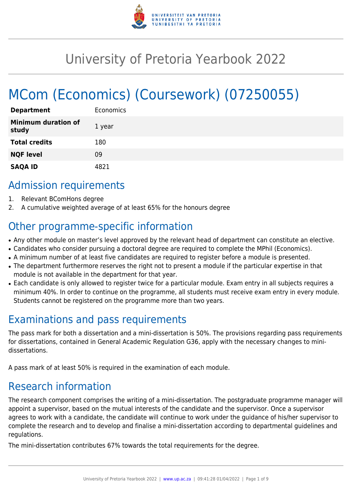

# University of Pretoria Yearbook 2022

# MCom (Economics) (Coursework) (07250055)

| <b>Department</b>                   | Economics |
|-------------------------------------|-----------|
| <b>Minimum duration of</b><br>study | 1 year    |
| <b>Total credits</b>                | 180       |
| <b>NQF level</b>                    | 09        |
| <b>SAQA ID</b>                      | 871       |

## Admission requirements

- 1. Relevant BComHons degree
- 2. A cumulative weighted average of at least 65% for the honours degree

# Other programme-specific information

- Any other module on master's level approved by the relevant head of department can constitute an elective.
- Candidates who consider pursuing a doctoral degree are required to complete the MPhil (Economics).
- A minimum number of at least five candidates are required to register before a module is presented.
- The department furthermore reserves the right not to present a module if the particular expertise in that module is not available in the department for that year.
- Each candidate is only allowed to register twice for a particular module. Exam entry in all subjects requires a minimum 40%. In order to continue on the programme, all students must receive exam entry in every module. Students cannot be registered on the programme more than two years.

# Examinations and pass requirements

The pass mark for both a dissertation and a mini-dissertation is 50%. The provisions regarding pass requirements for dissertations, contained in General Academic Regulation G36, apply with the necessary changes to minidissertations.

A pass mark of at least 50% is required in the examination of each module.

# Research information

The research component comprises the writing of a mini-dissertation. The postgraduate programme manager will appoint a supervisor, based on the mutual interests of the candidate and the supervisor. Once a supervisor agrees to work with a candidate, the candidate will continue to work under the guidance of his/her supervisor to complete the research and to develop and finalise a mini-dissertation according to departmental guidelines and regulations.

The mini-dissertation contributes 67% towards the total requirements for the degree.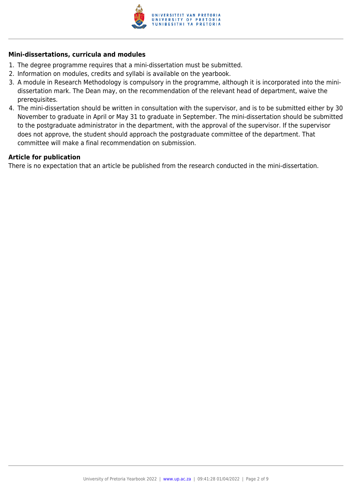

#### **Mini-dissertations, curricula and modules**

- 1. The degree programme requires that a mini-dissertation must be submitted.
- 2. Information on modules, credits and syllabi is available on the yearbook.
- 3. A module in Research Methodology is compulsory in the programme, although it is incorporated into the minidissertation mark. The Dean may, on the recommendation of the relevant head of department, waive the prerequisites.
- 4. The mini-dissertation should be written in consultation with the supervisor, and is to be submitted either by 30 November to graduate in April or May 31 to graduate in September. The mini-dissertation should be submitted to the postgraduate administrator in the department, with the approval of the supervisor. If the supervisor does not approve, the student should approach the postgraduate committee of the department. That committee will make a final recommendation on submission.

#### **Article for publication**

There is no expectation that an article be published from the research conducted in the mini-dissertation.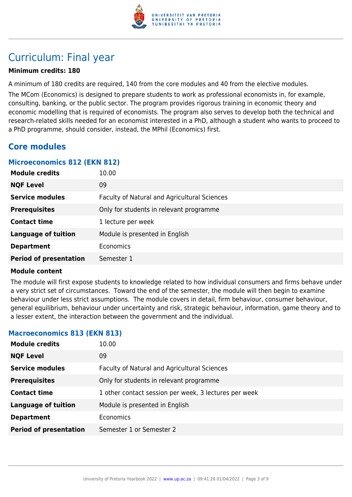

# Curriculum: Final year

#### **Minimum credits: 180**

A minimum of 180 credits are required, 140 from the core modules and 40 from the elective modules.

The MCom (Economics) is designed to prepare students to work as professional economists in, for example, consulting, banking, or the public sector. The program provides rigorous training in economic theory and economic modelling that is required of economists. The program also serves to develop both the technical and research-related skills needed for an economist interested in a PhD, although a student who wants to proceed to a PhD programme, should consider, instead, the MPhil (Economics) first.

### **Core modules**

#### **Microeconomics 812 (EKN 812)**

| <b>Module credits</b>         | 10.00                                        |
|-------------------------------|----------------------------------------------|
| <b>NQF Level</b>              | 09                                           |
| <b>Service modules</b>        | Faculty of Natural and Agricultural Sciences |
| <b>Prerequisites</b>          | Only for students in relevant programme      |
| <b>Contact time</b>           | 1 lecture per week                           |
| <b>Language of tuition</b>    | Module is presented in English               |
| <b>Department</b>             | Economics                                    |
| <b>Period of presentation</b> | Semester 1                                   |

#### **Module content**

The module will first expose students to knowledge related to how individual consumers and firms behave under a very strict set of circumstances. Toward the end of the semester, the module will then begin to examine behaviour under less strict assumptions. The module covers in detail, firm behaviour, consumer behaviour, general equilibrium, behaviour under uncertainty and risk, strategic behaviour, information, game theory and to a lesser extent, the interaction between the government and the individual.

#### **Macroeconomics 813 (EKN 813)**

| <b>Module credits</b>         | 10.00                                                 |
|-------------------------------|-------------------------------------------------------|
| <b>NQF Level</b>              | 09                                                    |
| <b>Service modules</b>        | Faculty of Natural and Agricultural Sciences          |
| <b>Prerequisites</b>          | Only for students in relevant programme               |
| <b>Contact time</b>           | 1 other contact session per week, 3 lectures per week |
| <b>Language of tuition</b>    | Module is presented in English                        |
| <b>Department</b>             | <b>Economics</b>                                      |
| <b>Period of presentation</b> | Semester 1 or Semester 2                              |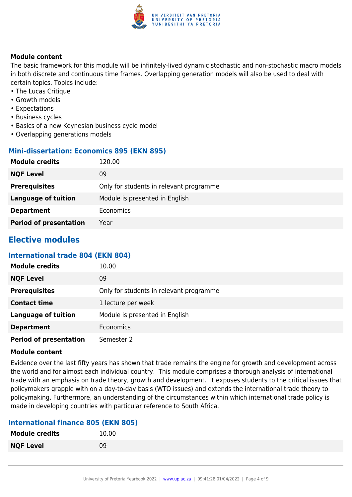

#### **Module content**

The basic framework for this module will be infinitely-lived dynamic stochastic and non-stochastic macro models in both discrete and continuous time frames. Overlapping generation models will also be used to deal with certain topics. Topics include:

- The Lucas Critique
- Growth models
- Expectations
- Business cycles
- Basics of a new Keynesian business cycle model
- Overlapping generations models

#### **Mini-dissertation: Economics 895 (EKN 895)**

| <b>Module credits</b>         | 120.00                                  |
|-------------------------------|-----------------------------------------|
| <b>NQF Level</b>              | 09                                      |
| <b>Prerequisites</b>          | Only for students in relevant programme |
| <b>Language of tuition</b>    | Module is presented in English          |
| <b>Department</b>             | Economics                               |
| <b>Period of presentation</b> | Year                                    |

### **Elective modules**

#### **International trade 804 (EKN 804)**

| <b>Module credits</b>         | 10.00                                   |
|-------------------------------|-----------------------------------------|
| <b>NQF Level</b>              | 09                                      |
| <b>Prerequisites</b>          | Only for students in relevant programme |
| <b>Contact time</b>           | 1 lecture per week                      |
| <b>Language of tuition</b>    | Module is presented in English          |
| <b>Department</b>             | Economics                               |
| <b>Period of presentation</b> | Semester 2                              |

#### **Module content**

Evidence over the last fifty years has shown that trade remains the engine for growth and development across the world and for almost each individual country. This module comprises a thorough analysis of international trade with an emphasis on trade theory, growth and development. It exposes students to the critical issues that policymakers grapple with on a day-to-day basis (WTO issues) and extends the international trade theory to policymaking. Furthermore, an understanding of the circumstances within which international trade policy is made in developing countries with particular reference to South Africa.

#### **International finance 805 (EKN 805)**

| <b>Module credits</b> | 10.00 |
|-----------------------|-------|
| <b>NQF Level</b>      | 09    |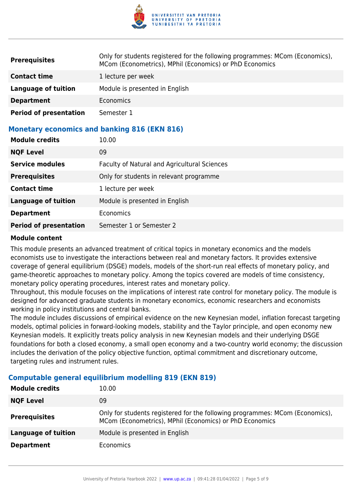

| <b>Prerequisites</b>          | Only for students registered for the following programmes: MCom (Economics),<br>MCom (Econometrics), MPhil (Economics) or PhD Economics |
|-------------------------------|-----------------------------------------------------------------------------------------------------------------------------------------|
| <b>Contact time</b>           | 1 lecture per week                                                                                                                      |
| Language of tuition           | Module is presented in English                                                                                                          |
| <b>Department</b>             | Economics                                                                                                                               |
| <b>Period of presentation</b> | Semester 1                                                                                                                              |

#### **Monetary economics and banking 816 (EKN 816)**

| <b>Module credits</b>         | 10.00                                        |
|-------------------------------|----------------------------------------------|
| <b>NQF Level</b>              | 09                                           |
| <b>Service modules</b>        | Faculty of Natural and Agricultural Sciences |
| <b>Prerequisites</b>          | Only for students in relevant programme      |
| <b>Contact time</b>           | 1 lecture per week                           |
| <b>Language of tuition</b>    | Module is presented in English               |
| <b>Department</b>             | <b>Economics</b>                             |
| <b>Period of presentation</b> | Semester 1 or Semester 2                     |

#### **Module content**

This module presents an advanced treatment of critical topics in monetary economics and the models economists use to investigate the interactions between real and monetary factors. It provides extensive coverage of general equilibrium (DSGE) models, models of the short-run real effects of monetary policy, and game-theoretic approaches to monetary policy. Among the topics covered are models of time consistency, monetary policy operating procedures, interest rates and monetary policy.

Throughout, this module focuses on the implications of interest rate control for monetary policy. The module is designed for advanced graduate students in monetary economics, economic researchers and economists working in policy institutions and central banks.

The module includes discussions of empirical evidence on the new Keynesian model, inflation forecast targeting models, optimal policies in forward-looking models, stability and the Taylor principle, and open economy new Keynesian models. It explicitly treats policy analysis in new Keynesian models and their underlying DSGE foundations for both a closed economy, a small open economy and a two-country world economy; the discussion includes the derivation of the policy objective function, optimal commitment and discretionary outcome, targeting rules and instrument rules.

| <b>Module credits</b> | 10.00                                                                                                                                   |
|-----------------------|-----------------------------------------------------------------------------------------------------------------------------------------|
| <b>NQF Level</b>      | 09                                                                                                                                      |
| <b>Prerequisites</b>  | Only for students registered for the following programmes: MCom (Economics),<br>MCom (Econometrics), MPhil (Economics) or PhD Economics |
| Language of tuition   | Module is presented in English                                                                                                          |
| <b>Department</b>     | Economics                                                                                                                               |

#### **Computable general equilibrium modelling 819 (EKN 819)**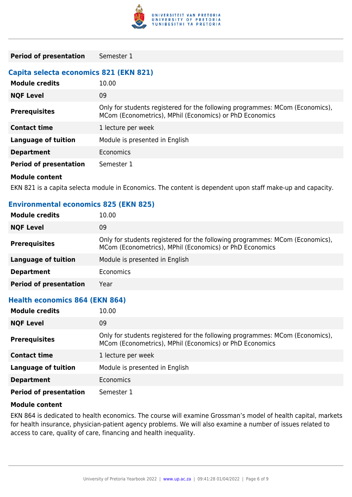

**Period of presentation** Semester 1

#### **Capita selecta economics 821 (EKN 821)**

| <b>Module credits</b>         | 10.00                                                                                                                                   |
|-------------------------------|-----------------------------------------------------------------------------------------------------------------------------------------|
| <b>NQF Level</b>              | 09                                                                                                                                      |
| <b>Prerequisites</b>          | Only for students registered for the following programmes: MCom (Economics),<br>MCom (Econometrics), MPhil (Economics) or PhD Economics |
| <b>Contact time</b>           | 1 lecture per week                                                                                                                      |
| Language of tuition           | Module is presented in English                                                                                                          |
| <b>Department</b>             | <b>Economics</b>                                                                                                                        |
| <b>Period of presentation</b> | Semester 1                                                                                                                              |
| <b>Module content</b>         |                                                                                                                                         |

EKN 821 is a capita selecta module in Economics. The content is dependent upon staff make-up and capacity.

### **Environmental economics 825 (EKN 825) Module credits** 10.00 **NQF Level** 09 **Prerequisites** Only for students registered for the following programmes: MCom (Economics), MCom (Econometrics), MPhil (Economics) or PhD Economics **Language of tuition** Module is presented in English **Department** Economics **Period of presentation** Year **Health economics 864 (EKN 864) Module credits** 10.00 **NQF Level** 09

| <b>Prerequisites</b>          | Only for students registered for the following programmes: MCom (Economics),<br>MCom (Econometrics), MPhil (Economics) or PhD Economics |
|-------------------------------|-----------------------------------------------------------------------------------------------------------------------------------------|
| <b>Contact time</b>           | 1 lecture per week                                                                                                                      |
| Language of tuition           | Module is presented in English                                                                                                          |
| <b>Department</b>             | <b>Economics</b>                                                                                                                        |
| <b>Period of presentation</b> | Semester 1                                                                                                                              |

#### **Module content**

EKN 864 is dedicated to health economics. The course will examine Grossman's model of health capital, markets for health insurance, physician-patient agency problems. We will also examine a number of issues related to access to care, quality of care, financing and health inequality.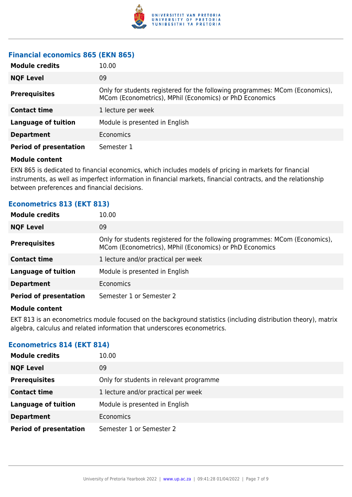

### **Financial economics 865 (EKN 865)**

| <b>Module credits</b>         | 10.00                                                                                                                                   |
|-------------------------------|-----------------------------------------------------------------------------------------------------------------------------------------|
| <b>NQF Level</b>              | 09                                                                                                                                      |
| <b>Prerequisites</b>          | Only for students registered for the following programmes: MCom (Economics),<br>MCom (Econometrics), MPhil (Economics) or PhD Economics |
| <b>Contact time</b>           | 1 lecture per week                                                                                                                      |
| <b>Language of tuition</b>    | Module is presented in English                                                                                                          |
| <b>Department</b>             | Economics                                                                                                                               |
| <b>Period of presentation</b> | Semester 1                                                                                                                              |

#### **Module content**

EKN 865 is dedicated to financial economics, which includes models of pricing in markets for financial instruments, as well as imperfect information in financial markets, financial contracts, and the relationship between preferences and financial decisions.

### **Econometrics 813 (EKT 813)**

| <b>Module credits</b>         | 10.00                                                                                                                                   |
|-------------------------------|-----------------------------------------------------------------------------------------------------------------------------------------|
| <b>NQF Level</b>              | 09                                                                                                                                      |
| <b>Prerequisites</b>          | Only for students registered for the following programmes: MCom (Economics),<br>MCom (Econometrics), MPhil (Economics) or PhD Economics |
| <b>Contact time</b>           | 1 lecture and/or practical per week                                                                                                     |
| <b>Language of tuition</b>    | Module is presented in English                                                                                                          |
| <b>Department</b>             | <b>Economics</b>                                                                                                                        |
| <b>Period of presentation</b> | Semester 1 or Semester 2                                                                                                                |

#### **Module content**

EKT 813 is an econometrics module focused on the background statistics (including distribution theory), matrix algebra, calculus and related information that underscores econometrics.

#### **Econometrics 814 (EKT 814)**

| <b>Module credits</b>         | 10.00                                   |
|-------------------------------|-----------------------------------------|
| <b>NQF Level</b>              | 09                                      |
| <b>Prerequisites</b>          | Only for students in relevant programme |
| <b>Contact time</b>           | 1 lecture and/or practical per week     |
| <b>Language of tuition</b>    | Module is presented in English          |
| <b>Department</b>             | <b>Economics</b>                        |
| <b>Period of presentation</b> | Semester 1 or Semester 2                |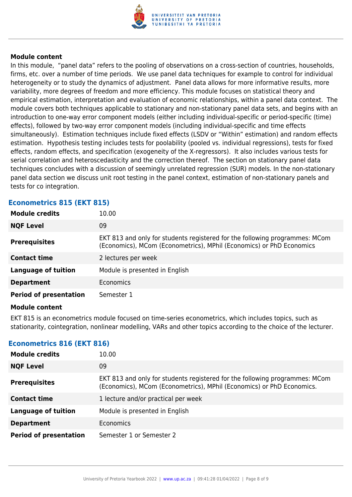

#### **Module content**

In this module, "panel data" refers to the pooling of observations on a cross-section of countries, households, firms, etc. over a number of time periods. We use panel data techniques for example to control for individual heterogeneity or to study the dynamics of adjustment. Panel data allows for more informative results, more variability, more degrees of freedom and more efficiency. This module focuses on statistical theory and empirical estimation, interpretation and evaluation of economic relationships, within a panel data context. The module covers both techniques applicable to stationary and non-stationary panel data sets, and begins with an introduction to one-way error component models (either including individual-specific or period-specific (time) effects), followed by two-way error component models (including individual-specific and time effects simultaneously). Estimation techniques include fixed effects (LSDV or "Within" estimation) and random effects estimation. Hypothesis testing includes tests for poolability (pooled vs. individual regressions), tests for fixed effects, random effects, and specification (exogeneity of the X-regressors). It also includes various tests for serial correlation and heteroscedasticity and the correction thereof. The section on stationary panel data techniques concludes with a discussion of seemingly unrelated regression (SUR) models. In the non-stationary panel data section we discuss unit root testing in the panel context, estimation of non-stationary panels and tests for co integration.

| ECONOMICENTO UIO (EITI UIO)   |                                                                                                                                                     |
|-------------------------------|-----------------------------------------------------------------------------------------------------------------------------------------------------|
| <b>Module credits</b>         | 10.00                                                                                                                                               |
| <b>NQF Level</b>              | 09                                                                                                                                                  |
| <b>Prerequisites</b>          | EKT 813 and only for students registered for the following programmes: MCom<br>(Economics), MCom (Econometrics), MPhil (Economics) or PhD Economics |
| <b>Contact time</b>           | 2 lectures per week                                                                                                                                 |
| <b>Language of tuition</b>    | Module is presented in English                                                                                                                      |
| <b>Department</b>             | <b>Economics</b>                                                                                                                                    |
| <b>Period of presentation</b> | Semester 1                                                                                                                                          |

#### **Econometrics 815 (EKT 815)**

#### **Module content**

EKT 815 is an econometrics module focused on time-series econometrics, which includes topics, such as stationarity, cointegration, nonlinear modelling, VARs and other topics according to the choice of the lecturer.

| Econometrics 816 (EKT 816)    |                                                                                                                                                      |  |
|-------------------------------|------------------------------------------------------------------------------------------------------------------------------------------------------|--|
| <b>Module credits</b>         | 10.00                                                                                                                                                |  |
| <b>NQF Level</b>              | 09                                                                                                                                                   |  |
| <b>Prerequisites</b>          | EKT 813 and only for students registered for the following programmes: MCom<br>(Economics), MCom (Econometrics), MPhil (Economics) or PhD Economics. |  |
| <b>Contact time</b>           | 1 lecture and/or practical per week                                                                                                                  |  |
| <b>Language of tuition</b>    | Module is presented in English                                                                                                                       |  |
| <b>Department</b>             | Economics                                                                                                                                            |  |
| <b>Period of presentation</b> | Semester 1 or Semester 2                                                                                                                             |  |

### **Econometrics 816 (EKT 816)**